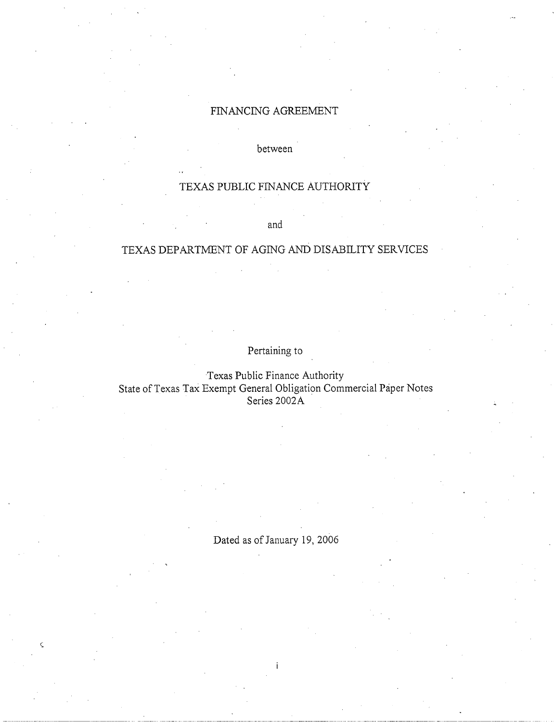# FINANCING AGREEMENT

between

# TEXAS PUBLIC FINANCE AUTHORITY

and

## TEXAS DEPARTMENT OF AGING AND DISABILITY SERVICES

Pertaining to

Texas Public Finance Authority State of Texas Tax Exempt General Obligation Commercial Paper Notes Series 2002A

Dated as of January 19, 2006

 $\varsigma$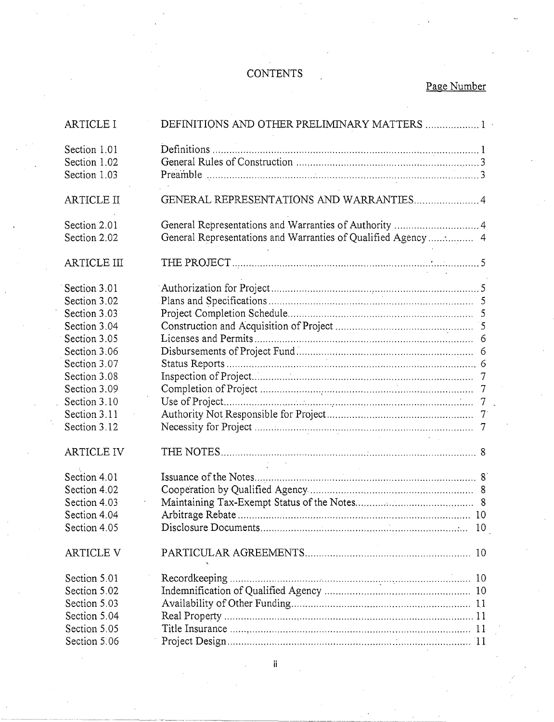# **CONTENTS**

# Page Number

| <b>ARTICLE I</b>             | DEFINITIONS AND OTHER PRELIMINARY MATTERS  1                  |
|------------------------------|---------------------------------------------------------------|
| Section 1.01<br>Section 1.02 |                                                               |
| Section 1.03                 |                                                               |
| <b>ARTICLE II</b>            | GENERAL REPRESENTATIONS AND WARRANTIES 4                      |
| Section 2.01<br>Section 2.02 | General Representations and Warranties of Qualified Agency  4 |
| <b>ARTICLE III</b>           |                                                               |
| Section 3.01                 |                                                               |
| Section 3.02                 |                                                               |
| Section 3.03                 |                                                               |
| Section 3.04                 |                                                               |
| Section 3.05                 |                                                               |
| Section 3.06                 |                                                               |
| Section 3.07                 |                                                               |
| Section 3.08                 |                                                               |
| Section 3.09                 |                                                               |
| Section 3.10                 |                                                               |
| Section 3.11                 |                                                               |
| Section 3.12                 |                                                               |
|                              |                                                               |
| <b>ARTICLE IV</b>            |                                                               |
| Section 4.01                 |                                                               |
| Section 4.02                 |                                                               |
| Section 4.03                 |                                                               |
| Section 4.04                 |                                                               |
| Section 4.05                 |                                                               |
| ARTICLE V                    |                                                               |
| Section 5.01                 | Recordkeeping.                                                |
| Section 5.02                 |                                                               |
| Section 5.03                 |                                                               |
| Section 5.04                 |                                                               |
| Section 5.05                 |                                                               |
| Section 5.06                 |                                                               |

ii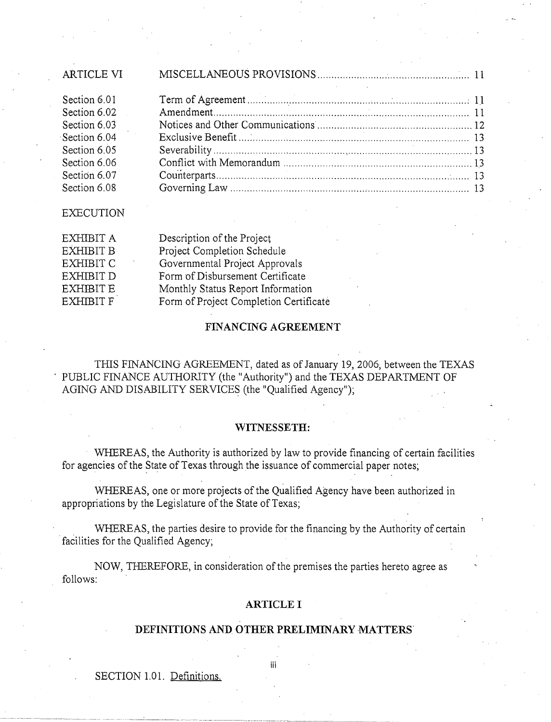| ARTICLE VI   |  |
|--------------|--|
| Section 6.01 |  |
| Section 6.02 |  |
| Section 6.03 |  |
| Section 6.04 |  |
| Section 6.05 |  |
| Section 6.06 |  |
| Section 6.07 |  |
| Section 6.08 |  |
|              |  |

EXECUTION

| EXHIBIT A        | Description of the Project             |
|------------------|----------------------------------------|
| EXHIBIT B        | Project Completion Schedule            |
| EXHIBIT C        | Governmental Project Approvals         |
| EXHIBIT D        | Form of Disbursement Certificate       |
| <b>EXHIBIT E</b> | Monthly Status Report Information      |
| <b>EXHIBIT F</b> | Form of Project Completion Certificate |
|                  |                                        |

#### **FINANCING AGREEMENT**

THIS FINANCING AGREEMENT, dated as of January 19, 2006, between the TEXAS PUBLIC FINANCE AUTHORITY (the "Authority") and the TEXAS DEPARTMENT OF AGING AND DISABILITY SERVICES (the "Qualified Agency");

#### **WITNESSETH:**

WHEREAS, the Authority is authorized by law to provide financing of certain facilities for agencies of the State of Texas through the issuance of commercial paper notes;

WHEREAS, one or more projects of the Qualified Agency have been authorized in appropriations by the Legislature of the State of Texas;

WHEREAS, the parties desire to provide for the financing by the Authority of certain facilities for the Qualified Agency;

NOW, THEREFORE, in consideration of the premises the parties hereto agree as follows:

#### **ARTICLE I**

#### **DEFINITIONS AND OTHER PRELIMINARY MATTERS'**

SECTION 1.01. Definitions.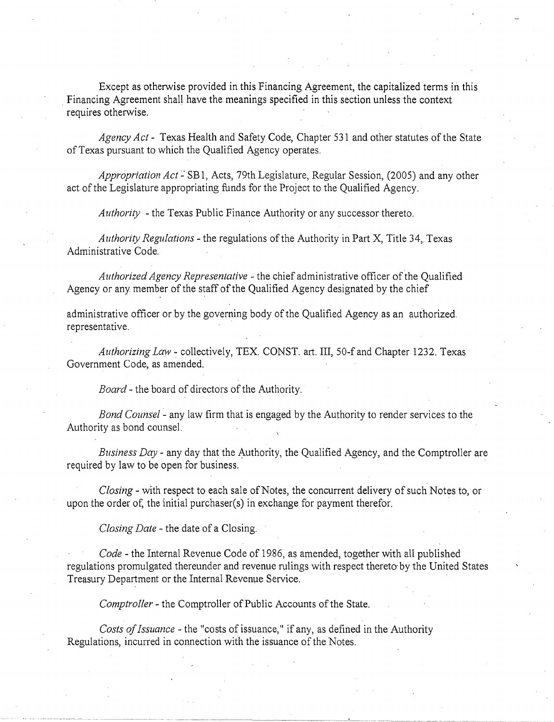Except as otherwise provided in this Financing Agreement, the capitalized terms in this . Financing Agreement shall have the meanings specified in this section unless the context requires otherwise.

*Agency Act-* Texas Health and Safety Code, Chapter 531 and other statutes of the State of Texas pursuant to which the Qualified Agency operates.

*Appropriation Act* – SB1, Acts, 79th Legislature, Regular Session, (2005) and any other act of the Legislature appropriating funds for the Project to the Qualified Agency.

*Authority* -the Texas Public Finance Authority or any successor thereto.

*Authority Regulations-* the regulations of the Authority in Part X, Title 34, Texas Administrative Code.

*Authorized Agency Representative-* the chief administrative officer of the Qualified Agency or any member of the staff of the Qualified Agency designated by the chief

administrative officer or by the governing body of the Qualified Agency as an authorized. representative.

*Authorizing Law-* collectively, TEX. CONST. art. III, 50-f and Chapter 1232. Texas Government Code, as amended.

*Board-* the board of directors of the Authority.

*Bond Counsel* - any law firm that is engaged by the Authority to render services to the Authority as bond counsel.

*Business Day-* any day that the Authority, the Qualified Agency, and the Comptroller are required by law to be open for business.

*Closing-* with respect to each sale of Notes, the concurrent delivery of such Notes to, or upon the order of, the initial purchaser(s) in exchange for payment therefor.

*Closing Date* -the date of a Closing.

*Code* - the Internal Revenue Code of 1986, as amended, together with all published regulations promulgated thereunder and revenue rulings with respect thereto by the United States Treasury Department or the Internal Revenue Service.

*Comptroller-* the Comptroller of Public Accounts of the State.

*Costs of Issuance* -the "costs of issuance," if any, as defined in the Authority Regulations, incurred in connection with the issuance of the Notes.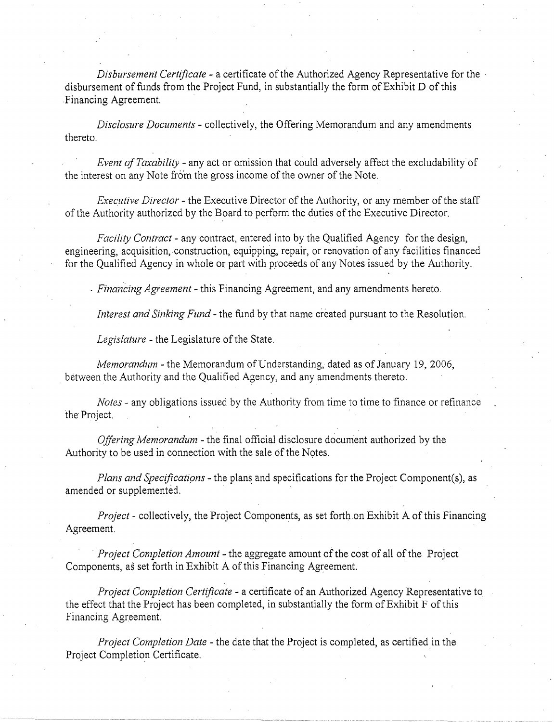*Disbursement Certificate-* a certificate of the Authorized Agency Representative for the · disbursement of funds from the Project Fund, in substantially the form of Exhibit D of this Financing Agreement.

*Disclosure Documents* - collectively, the Offering Memorandum and any amendments thereto.

*Event of Taxability-* any act or omission that could adversely affect the excludability of the interest on any Note from the gross income of the owner of the Note.

*Executive Director-* the Executive Director of the Authority, or any member of the staff of the Authority authorized by the Board to perform the duties of the Executive Director.

*Facility Contract-* any contract, entered into by the Qualified Agency for the design, engineering, acquisition, construction, equipping, repair, or renovation of any facilities financed for the Qualified Agency in whole or part with proceeds of any Notes issued by the Authority.

. *Financing Agreement-* this Financing Agreement, and any amendments hereto.

*Interest and Sinking Fund-* the fund by that name created pursuant to the Resolution.

*Legislature-* the Legislature of the State.

*Memorandum-* the Memorandum ofUnderstanding, dated as of January 19, 2006, between the Authority and the Qualified Agency, and any amendments thereto.

*Notes-* any obligations issued by the Authority from time to time to finance or refinance the Project.

. . *Offering Memorandum* -the final official disclosure document authorized by the Authority to be used in connection with the sale of the Notes.

*Plans and Specifications-* the plans and specifications for the Project Component(s), as amended or supplemented.

*Project* - collectively, the Project Components, as set forth on Exhibit A of this Financing Agreement.

*Project Completion Amount-* the aggregate amount of the cost of all of the Project Components, as set forth in Exhibit A of this Financing Agreement.

*Project Completion Certificate* - a certificate of an Authorized Agency Representative to. the effect that the Project has been completed, in substantially the form of Exhibit F of this Financing Agreement.

*Project Completion Date* -the date that the Project is completed, as certified in the Project Completion Certificate.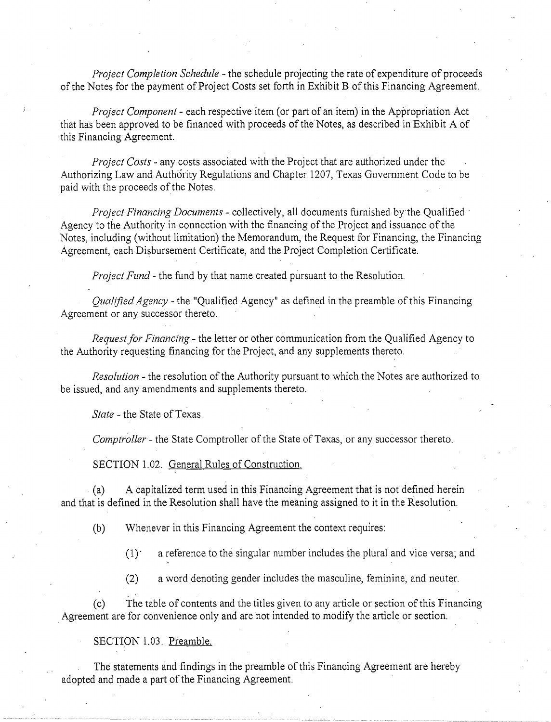*Project Completion Schedule* -the schedule projecting the rate of expenditure of proceeds of the Notes for the payment of Project Costs set forth in Exhibit B of this Financing Agreement.

*Project Component-* each respective item (or part of an item) in the Appropriation Act that has been approved to be financed with proceeds of the Notes, as described in Exhibit A of this Financing Agreement.

*Project Costs-* any costs associated with the Project that are authorized under the Authorizing Law and Authority Regulations and Chapter 1207, Texas Government Code to be paid with the proceeds of the Notes.

*Project Financing Documents-* collectively, all documents furnished by the Qualified · Agency to the Authority in connection with the financing of the Project and issuance of the Notes, including (without limitation) the Memorandum, the Request for Financing, the Financing Agreement, each Disbursement Certificate, and the Project Completion Certificate.

*Project Fund-* the fund by that name created pursuant to the Resolution.

*Qualified Agency-* the "Qualified Agency" as defined in the preamble of this Financing Agreement or any successor thereto.

*Request for Financing* - the letter or other communication from the Qualified Agency to the Authority requesting financing for the Project, and any supplements thereto.

*Resolution-* the resolution of the Authority pursuant to which the Notes are authorized to be issued, and any amendments and supplements thereto.

*State-* the State of Texas.

*Comptroller-* the State Comptroller of the State of Texas, or any successor thereto.

SECTION 1.02. General Rules of Construction.

(a) A capitalized term used in this Financing Agreement that is not defined herein and that is defined in the Resolution shall have the meaning assigned to it in the Resolution.

(b) Whenever in this Financing Agreement the context requires:

 $(1)'$  a reference to the singular number includes the plural and vice versa; and

(2) a word denoting gender includes the masculine, feminine, and neuter.

(c) The table of contents and the titles given to any article or section of this Financing . Agreement are for convenience only and are 'not intended to modify the article or section.

SECTION 1.03. Preamble.

The statements and findings in the preamble of this Financing Agreement are hereby adopted and made a part of the Financing Agreement.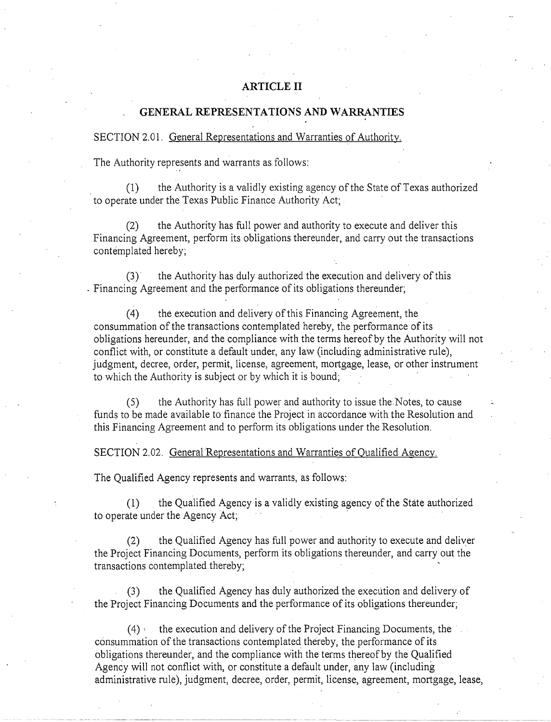#### **ARTICLE II**

#### **GENERAL REPRESENTATIONS AND WARRANTIES**

#### SECTION 2.01. General Representations and Warranties of Authority.

The Authority represents and warrants as follows:

. (1) the Authority is a validly existing agency of the State of Texas authorized to operate under the Texas Public Finance Authority Act;

(2) the Authority has full power and authority to execute and deliver this Financing Agreement, perform its obligations thereunder, and carry out the transactions contemplated hereby;

(3) the Authority has duly authorized the execution and delivery ofthis . Financing Agreement and the performance of its obligations thereunder;

( 4) the execution and delivery of this Financing Agreement, the consummation of the transactions contemplated hereby, the performance of its obligations hereunder, and the compliance with the terms hereof by the Authority will not conflict with, or constitute a default under, any law (including administrative rule), judgment, decree, order, permit, license, agreement, mortgage, lease, or other instrument to which the Authority is subject or by which it is bound;

(5) the Authority has full power and authority to issue the Notes, to cause funds to be made available to finance the Project in accordance with the Resolution and this Financing Agreement and to perform its obligations under the Resolution.

SECTION 2. 02. General Representations and Warranties of Qualified Agency.

The Qualified Agency represents and warrants, as follows:

(1) the Qualified Agency is a validly existing agency ofthe State authorized to operate under the Agency Act;

(2) the Qualified Agency has full power and authority to execute and deliver the Project Financing Documents, perform its obligations thereunder, and carry out the transactions contemplated thereby;

(3) the Qualified Agency has duly authorized the execution and delivery of the Project Financing Documents and the performance of its obligations thereunder;

 $(4)$  the execution and delivery of the Project Financing Documents, the consummation of the transactions contemplated thereby, the performance of its obligations thereunder, and the compliance with the terms thereof by the Qualified Agency will not conflict with, or constitute a default under, any law (including administrative rule), judgment, decree, order, permit, license, agreement, mortgage, lease,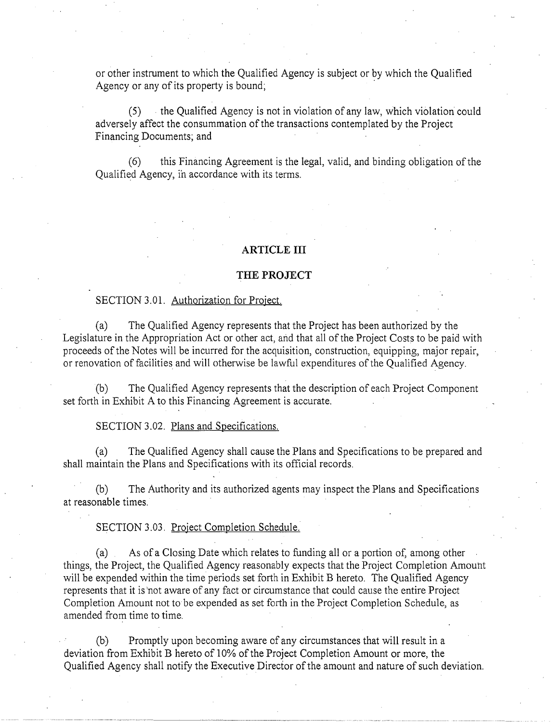or other instrument to which the Qualified Agency is subject or by which the Qualified Agency or any of its property is bound;

(5) the Qualified Agency is not in violation of any law, which violation could adversely affect the consummation of the transactions contemplated by the Project Financing Documents; and

(6) this Financing Agreement is the legal, valid, and binding obligation of the Qualified Agency, ih accordance with its terms.

### **ARTICLE III**

#### **THE PROJECT**

#### SECTION 3.01. Authorization for Project.

(a) The Qualified Agency represents that the Project has been authorized by the Legislature in the Appropriation Act or other act, and that all of the Project Costs to be paid with proceeds of the Notes will be incurred for the acquisition, construction, equipping, major repair, or renovation of facilities and will otherwise be lawful expenditures ofthe Qualified Agency.

(b) The Qualified Agency represents that the description of each Project Component set forth in Exhibit A to this Financing Agreement is accurate.

SECTION 3.02. Plans and Specifications.

(a) The Qualified Agency shall cause the Plans and Specifications to be prepared and shall maintain the Plans and Specifications with its official records.

(b) The Authority and its authorized agents may inspect the Plans and Specifications at reasonable times.

SECTION 3.03. Project Completion Schedule.

(a) As of a Closing Date which relates to funding all or a portion of, among other things, the Project, the Qualified Agency reasonably expects that the Project Completion Amount will be expended within the time periods set forth in Exhibit B hereto. The Qualified Agency represents that it is 'not aware of any fact or circumstance that could cause the entire Project Completion Amount not to be expended as set forth in the Project Completion Schedule, as amended from time to time.

(b) Promptly upon becoming aware of any circumstances that will result in a deviation from Exhibit B hereto of 10% of the Project Completion Amount or more, the Qualified Agency shall notify the Executive Director of the amount and nature of such deviation.

----······---------------------------------····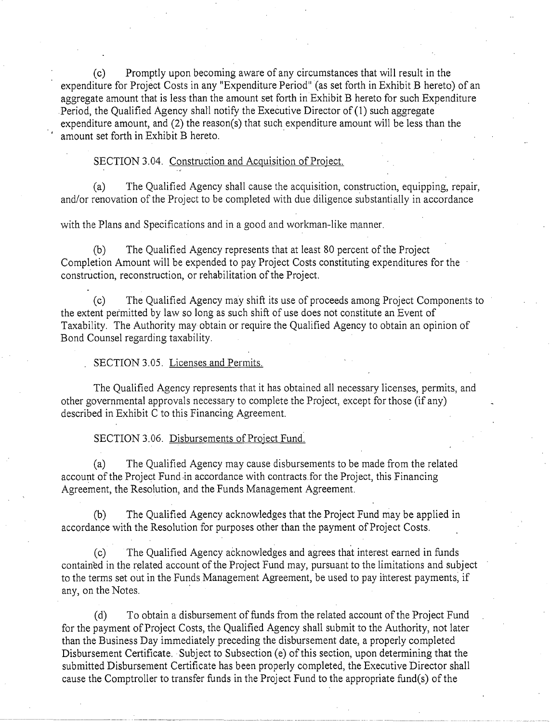(c) Promptly upon becoming aware of any circumstances that will result in the expenditure for Project Costs in any "Expenditure Period" (as set forth in Exhibit B hereto) of an aggregate amount that is less than the amount set forth in Exhibit B hereto for such Expenditure Period, the Qualified Agency shall notify the Executive Director of (1) such aggregate expenditure amount, and (2) the reason(s) that such expenditure amount will be less than the amount set forth in Exhibit B hereto.

#### SECTION 3.04. Construction and Acquisition of Project.

(a) The Qualified Agency shall cause the acquisition, construction, equipping, repair, and/or renovation of the Project to be completed with due diligence substantially in accordance

with the Plans and Specifications and in a good and workman-like manner.

(b) The Qualified Agency represents that at least 80 percent ofthe Project Completion Amount will be expended to pay Project Costs constituting expenditures for the construction, reconstruction, or rehabilitation of the Project.

(c) The Qualified Agency may shift its use of proceeds among Project Components to the extent permitted by law so long as such shift of use does not constitute an Event of Taxability. The Authority may obtain or require the Qualified Agency to obtain an opinion of Bond Counsel regarding taxability.

#### SECTION 3.05. Licenses and Permits.

The Qualified Agency represents that it has obtained all necessary licenses, permits, and other governmental approvals necessary to complete the Project, except for those (if any) described in Exhibit C to this Financing Agreement.

SECTION 3.06. Disbursements of Project Fund.

(a) The Qualified Agency may cause disbursements to be made from the related account of the Project Fund in accordance with contracts for the Project, this Financing Agreement, the Resolution, and the Funds Management Agreement.

(b) The Qualified Agency acknowledges that the Project Fund may be applied in accordance with the Resolution for purposes other than the payment of Project Costs.

(c) The Qualified Agency acknowledges and agrees that interest earned in funds contained in the related account of the Project Fund may, pursuant to the limitations and subject to the terms set out in the Funds Management Agreement, be used to pay interest payments, if any, on the Notes.

(d) To obtain a disbursement of funds from the related account of the Project Fund for the payment of Project Costs, the Qualified Agency shall submit to the Authority, not later than the Business Day immediately preceding the disbursement date, a properly completed Disbursement Certificate. Subject to Subsection (e) of this section, upon determining that the submitted Disbursement Certificate has been properly completed, the Executive Director shall cause the Comptroller to transfer funds in the Project Fund to the appropriate fund(s) of the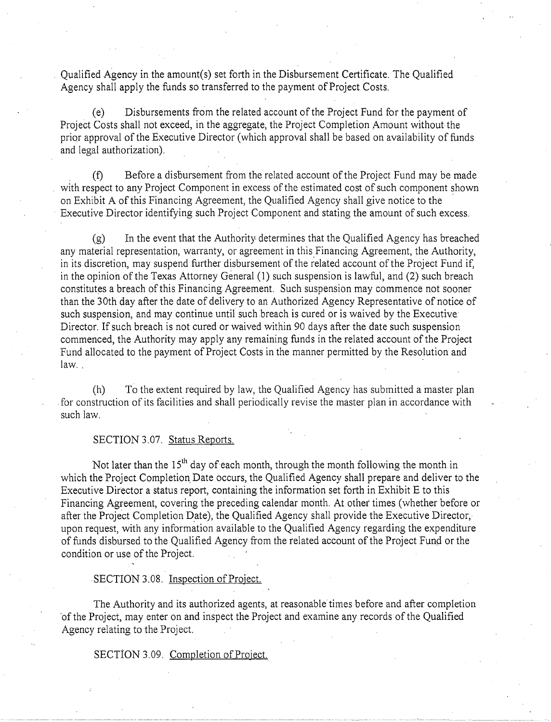Qualified Agency in the amount(s) set forth in the Disbursement Certificate. The Qualified Agency shall apply the funds so transferred to the payment of Project Costs.

(e) Disbursements from the related account ofthe Project Fund for the payment of Project Costs shall not exceed, in the aggregate, the Project Completion Amount without the prior approval of the Executive Director (which approval shall be based on availability of funds and legal authorization).

. (f) Before a disbursement from the related account of the Project Fund may be made with respect to any Project Component in excess of the estimated cost of such component shown on Exhibit A of this Financing Agreement, the Qualified Agency shall give notice to the Executive Director identifying such Project Component and stating the amount of such excess.

 $(g)$  In the event that the Authority determines that the Qualified Agency has breached any material representation, warranty, or agreement in this Financing Agreement, the Authority, in its discretion, may suspend further disbursement of the related account of the Project Fund if, in the opinion ofthe Texas Attorney General (1) such suspension is lawful, and (2) such breach constitutes a breach of this Financing Agreement. Such suspension may commence not sooner than the 30th day after the date of delivery to an Authorized Agency Representative of notice of such suspension, and may continue until such breach is cured or is waived by the Executive Director. If such breach is not cured or waived within 90 days after the date such suspension commenced, the Authority may apply any remaining funds in the related account of the Project Fund allocated to the payment of Project Costs in the manner permitted by the Resolution and law.. .

(h) To the extent required by law, the Qualified Agency has submitted a master plan . for construction of its facilities and shall periodically revise the master plan in accordance with such law.

#### SECTION 3.07. Status Reports.

Not later than the 15<sup>th</sup> day of each month, through the month following the month in which the Project Completion Date occurs, the Qualified Agency shall prepare and deliver to the Executive Director a status report, containing the information set forth in Exhibit E to this Financing Agreement, covering the preceding calendar month. At other times (whether before or after the Project Completion Date), the Qualified Agency shall provide the Executive Director, upon request, with any information available to the Qualified Agency regarding the expenditure of funds disbursed to the Qualified Agency from the related account of the Project Funq or the condition or use of the Project.

SECTION 3.08. Inspection of Project.

The Authority and its authorized agents, at reasonable times before and after completion 'of the Project, may enter on and inspect the Project and examine any records ofthe Qualified Agency relating to the Project.

SECTION 3.09. Completion of Project.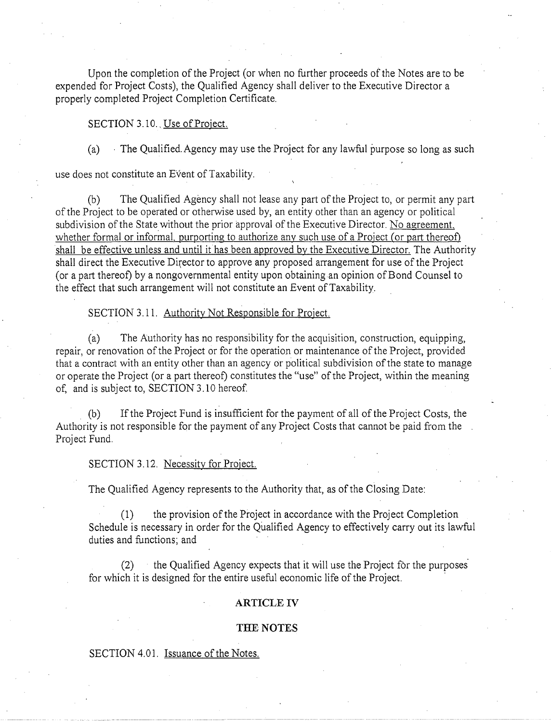Upon the completion of the Project (or when no further proceeds of the Notes are to be expended for Project Costs), the Qualified Agency shall deliver to the Executive Director a properly completed Project Completion Certificate.

#### SECTION 3.10. Use of Project.

(a) · The Qualified. Agency may use the Project for any lawful purpose so long as such

use does not constitute an Event of Taxability.

(b) The Qualified Agency shall not lease any part ofthe Project to, or permit any part of the Project to be operated or otherwise used by, an entity other than an agency or political subdivision of the State without the prior approval of the Executive Director. No agreement, whether formal or informal, purporting to authorize any such use of a Project (or part thereof) shall be effective unless and until it has been approved by the Executive Director. The Authority shall direct the Executive Director to approve any proposed arrangement for use of the Project (or a part thereof) by a nongovernmental entity upon obtaining an opinion ofBond Counsel to the effect that such arrangement will not constitute an Event of Taxability.

#### SECTION 3.11. Authority Not Responsible for Project.

(a) The Authority has no responsibility for the acquisition, construction, equipping, repair, or renovation of the Project or for the operation or maintenance of the Project, provided that a contract with an entity other than an agency or political subdivision of the state to manage or operate the Project (or a part thereof) constitutes the "use" of the Project, within the meaning of, and is subject to, SECTION 3.10 hereof

(b) If the Project Fund is insufficient for the payment of all of the Project Costs, the Authority is not responsible for the payment of any Project Costs that cannot be paid from the Project Fund.

#### SECTION 3.12. Necessity for Project.

The Qualified Agency represents to the Authority that, as of the Closing Date:

(1) the provision ofthe Project in accordance with the Project Completion Schedule is necessary in order for the Qualified Agency to effectively carry out its lawful duties and functions; and

(2) the Qualified Agency expects that it will use the Project for the purposes· for which it is designed for the entire useful economic life of the Project.

#### **ARTICLE IV**

#### **THE NOTES**

#### SECTION 4.01. Issuance of the Notes.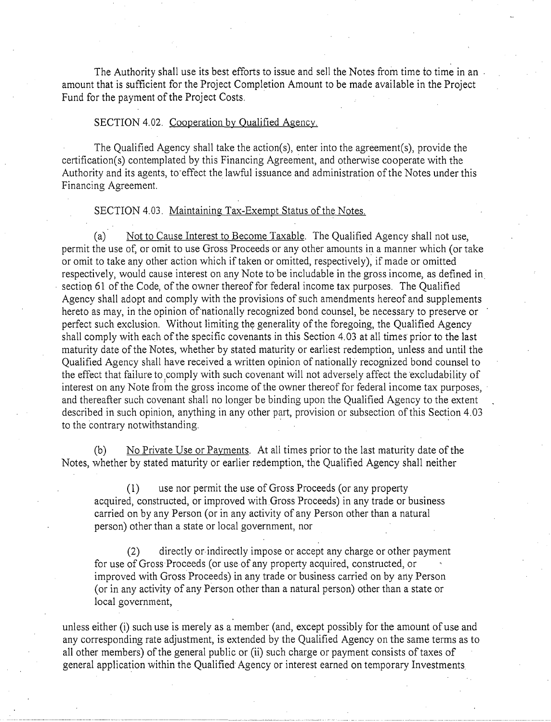The Authority shall use its best efforts to issue and sell the Notes from time to time in an amount that is sufficient for the Project Completion Amount to be made available in the Project Fund for the payment of the Project Costs.

#### SECTION 4.02. Cooperation by Qualified Agency.

The Qualified Agency shall take the action(s), enter into the agreement(s), provide the certification(s) contemplated by this Financing Agreement, and otherwise cooperate with the Authority and its agents, to·effect the lawful issuance and administration of the Notes under this Financing Agreement.

#### SECTION 4.03. Maintaining Tax-Exempt Status of the Notes.

(a) Not to Cause Interest to Become Taxable. The Qualified Agency shall not use, permit the use of, or omit to use Gross Proceeds or any other amounts in a manner which (or take or omit to take any other action which if taken or omitted, respectively), if made or omitted respectively, would cause interest on any Note to be includable in the gross income, as defined in section 61 of the Code, of the owner thereof for federal income tax purposes. The Qualified Agency shall adopt and comply with the provisions of such amendments hereof and supplements hereto as may, in the opinion of'nationally recognized bond counsel, be necessary to preserve or perfect such exclusion. Without limiting the generality of the foregoing, the Qualified Agency shall comply with each of the specific covenants in this Section 4. 03 at all times prior to the last maturity date of the Notes, whether by stated maturity or earliest redemption, unless and until the Qualified Agency shall have received a written opinion of nationally recognized bond counsel to the effect that failure to comply with such covenant will not adversely affect the excludability of interest on any Note from the gross income of the owner thereof for federal income tax purposes, and thereafter such covenant shall no longer be binding upon the Qualified Agency to the extent described in such opinion, anything in any other part, provision or subsection of this Section 4.03 to the contrary notwithstanding.

(b) No Private Use or Payments. At all times prior to the last maturity date of the Notes, whether by stated maturity or earlier redemption, the Qualified Agency shall neither

(1) use nor permit the use of Gross Proceeds (or any property acquired, constructed, or improved with.Gross Proceeds) in any trade or business carried on by any Person (or in any activity of any Person other than a natural person) other than a state or local government, nor

(2) directly or indirectly impose or accept any charge or other payment for use of Gross Proceeds (or use of any property acquired, constructed, or improved with Gross Proceeds) in any trade or business carried on by any Person (or in any activity of any Person other than a natural person) other than a state or local government,

unless either (i) such use is merely as a member (and, except possibly for the amount of use and any corresponding rate adjustment, is extended by the Qualified Agency on the same terms as to all other members) of the general public or (ii) such charge or payment consists of taxes of general application within the Qualified Agency or interest earned on temporary Investments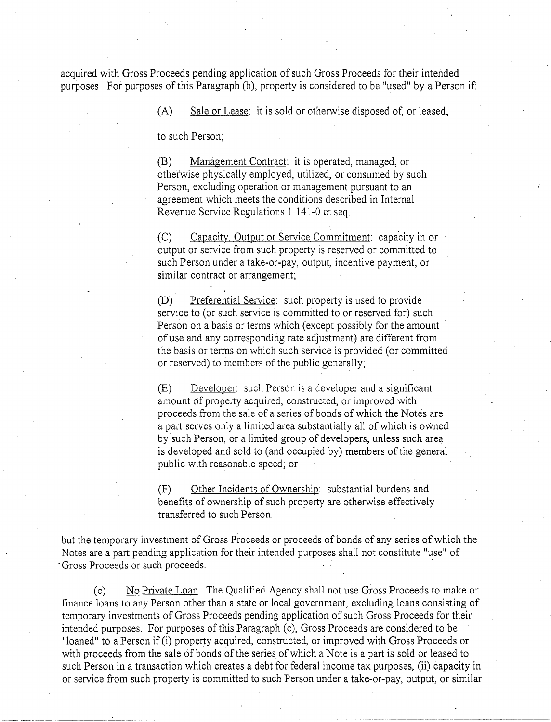acquired with Gross Proceeds pending application of such Gross Proceeds for their intended purposes. For purposes of this Paragraph (b), property is considered to be "used" by a Person if:

(A) Sale or Lease: it is sold or otherwise disposed of, or leased,

to such Person;

(B) Management Contract: it is operated, managed, or otherwise physically employed, utilized, or consumed by such Person, excluding operation or management pursuant to an agreement which meets the conditions described in Internal Revenue Service Regulations 1.141-0 et. seq.

(C) Capacity, Output or Service Commitment: capacity in or output or service from such property is reserved or committed to such Person under a take-or-pay, output, incentive payment, or similar contract or arrangement;

(D) Preferential Service: such property is used to provide service to (or such service is committed to or reserved for) such Person on a basis or terms which (except possibly for the amount ofuse and any corresponding rate adjustment) are different from the basis or terms on which such service is provided (or committed or reserved) to members of the public generally;

(E) Developer: such Person is a developer and a significant amount of property acquired, constructed, or improved with proceeds from the sale of a series of bonds of which the Notes are a part serves only a limited area substantially all of which is owned by such Person, or a limited group of developers, unless such area is developed and sold to (and occupied by) members of the general public with reasonable speed; or

(F) Other Incidents of Ownership: substantial burdens and benefits of ownership of such property are otherwise effectively transferred to such Person.

but the temporary investment of Gross Proceeds or proceeds of bonds of any series of which the Notes are a part pending application for their intended purposes shall not constitute ''use'' of ··Gross Proceeds or such proceeds. ·

(c) No Private Loan. The Qualified Agency shall not use Gross Proceeds to make or finance loans to any Person other than a state or local government, excluding loans consisting of temporary investments of Gross Proceeds pending application of such Gross Proceeds for their intended purposes. For purposes of this Paragraph (c), Gross Proceeds are considered to be "loaned" to a Person if (i) property acquired, constructed, or improved with Gross Proceeds or with proceeds from the sale of bonds of the series of which a Note is a part is sold or leased to such Person in a transaction which creates a debt for federal income tax purposes, (ii) capacity in or service from such property is committed to such Person under a take-or-pay, output, or similar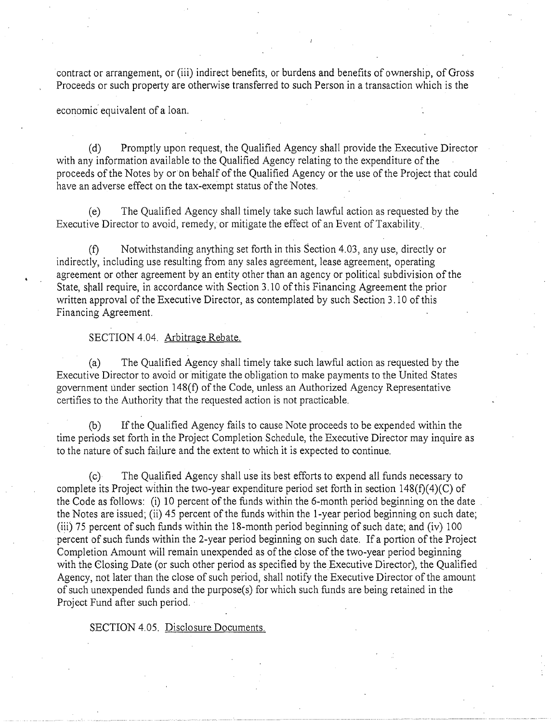contract or arrangement, or (iii) indirect benefits, or burdens and benefits of ownership, of Gross Proceeds or such property are otherwise transferred to such Person in a transaction which is the

economic equivalent of a loan.

(d) Promptly upon request, the Qualified Agency shall provide the Executive Director with any information available to the Qualified Agency relating to the expenditure of the proceeds of the Notes by or bn behalf of the Qualified Agency or the use of the Project that could have an adverse effect on the tax-exempt status of the Notes.

(e) The Qualified Agency shall timely take such lawful action as requested by the Executive Director to avoid, remedy, or mitigate the effect of an Event of Taxability.

(f) Notwithstanding anything set forth in this Section 4.03, any use, directly or indirectly, including use resulting from any sales agreement, lease agreement, operating agreement or other agreement by an entity other than an agency or political subdivision of the State, shall require, in accordance with Section 3.10 of this Financing Agreement the prior written approval of the Executive Director, as contemplated by such Section 3.10 of this Financing Agreement.

#### SECTION 4.04. Arbitrage Rebate.

(a) The Qualified Agency shall timely take such lawful action as requested by the Executive Director to avoid or mitigate the obligation to make payments to the United States government under section 148(f) of the Code, unless an Authorized Agency Representative certifies to the Authority that the requested action is not practicable.

(b) Ifthe Qualified Agency fails to cause Note proceeds to be expended within the time periods set forth in the Project Completion Schedule, the Executive Director may inquire as to the nature of such failure and the extent to which it is expected to continue.

(c) The Qualified Agency shall use its best efforts to expend all funds necessary to complete its Project within the two-year expenditure period set forth in section  $148(f)(4)(C)$  of the Code as follows: (i) 10 percent of the funds within the 6-month period beginning on the date the Notes are issued; (ii) 45 percent of the funds within the 1-year period beginning on such date; (iii) 75 percent of such funds within the IS-month period beginning of such date; and (iv) 100 percent of such funds within the 2-year period beginning on such date. If a portion of the Project Completion Amount will remain unexpended as of the close of the two-year period beginning with the Closing Date (or such other period as specified by the Executive Director), the Qualified Agency, not later than the close of such period, shall notify the Executive Director of the amount of such unexpended funds and the purpose( s) for which such funds are being retained in the Project Fund after such period.

SECTION 4.05. Disclosure Documents.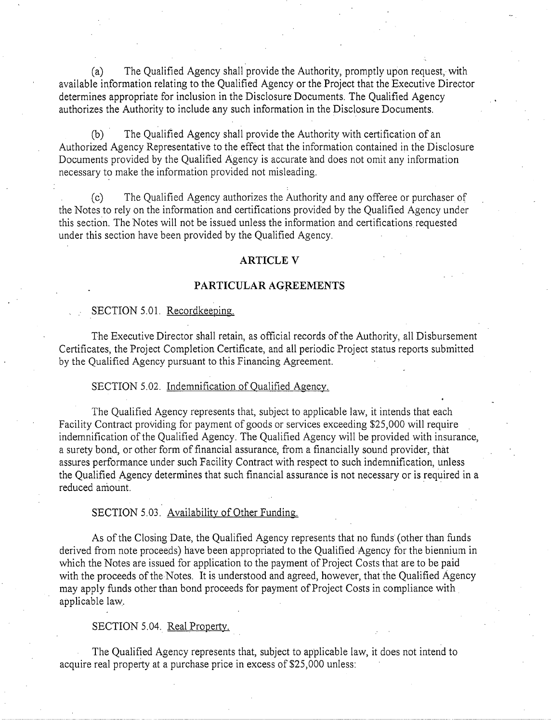(a) The Qualified Agency shall provide the Authority, promptly upon request, with available information relating to the Qualified Agency or the Project that the Executive Director determines appropriate for inclusion in the Disclosure Documents. The Qualified Agency authorizes the Authority to include any such information in the Disclosure Documents.

(b) The Qualified Agency shall provide the Authority with certification of an Authorized Agency Representative to the effect that the information contained in the Disclosure Documents provided by the Qualified Agency is accurate and does not omit any information necessary to make the information provided not misleading.

(c) The Qualified Agency authorizes the Authority and any offeree or purchaser of the Notes to rely on the information and certifications provided by the Qualified Agency under this section. The Notes will not be issued unless the information and certifications requested under this section have been provided by the Qualified Agency.

#### **ARTICLE V**

#### **PARTICULAR AGREEMENTS**

#### SECTION 5.01. Recordkeeping.

The Executive Director shall retain, as official records of the Authority, all Disbursement Certificates, the Project Completion Certificate, and all periodic Project status reports submitted by the Qualified Agency pursuant to this Financing Agreement.

#### SECTION 5.02. Indemnification of Qualified Agency.

The Qualified Agency represents that, subject to applicable law, it intends that each Facility Contract providing for payment of goods or services exceeding \$25,000 will require indemnification of the Qualified Agency. The Qualified Agency will be provided with insurance, a surety bond, or other form of financial assurance, from a financially sound provider, that assures performance under such Facility Contract with respect to such indemnification, unless the Qualified Agency determines that such financial assurance is not necessary or is required in a reduced amount.

#### SECTION 5.03. Availability of Other Funding.

As of the Closing Date, the Qualified Agency represents that no funds (other than funds derived from note proceeds) have been appropriated to the Qualified Agency for the biennium in which the Notes ate issued for application to the payment of Project Costs that are to be paid with the proceeds of the Notes. It is understood and agreed, however, that the Qualified Agency may apply funds other than bond proceeds for payment of Project Costs in compliance with applicable law..

#### SECTION 5.04. Real Property.

The Qualified Agency represents that, subject to applicable law, it does not intend to acquire real property at a purchase price in excess of \$25,000 unless:

---------·-···· ----~------·----·---···----------· ............ \_\_\_\_ ~-------- -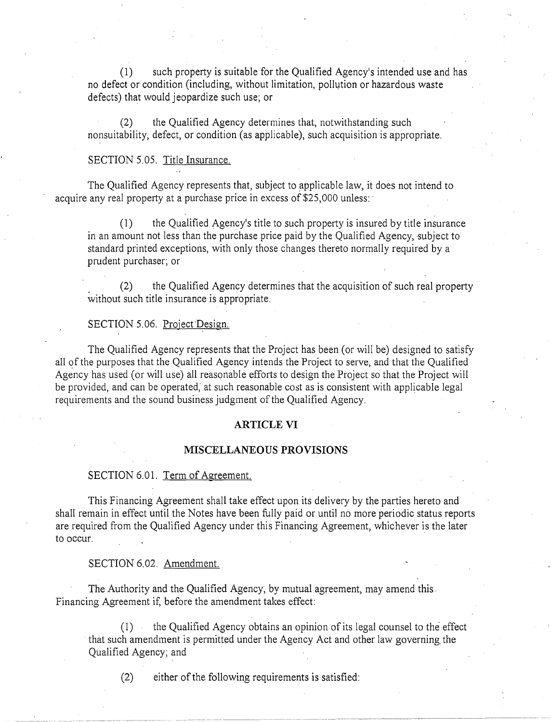(1) such property is suitable for the Qualified Agency's intended use and has no defect or condition (including, without limitation, pollution or hazardous waste defects) that would jeopardize such use; or

(2) the Qualified Agency determines that, notwithstanding such nonsuitability, defect, or condition (as applicable), such acquisition is appropriate.

#### SECTION 5.05. Title Insurance.

The Qualified Agency represents that, subject to applicable law, it does not intend to acquire any real property at a purchase price in excess of \$25,000 unless:

(1) the Qualified Agency's title to such property is insured by title insurance in an amount not less than the purchase price paid by the Qualified Agency, subject to standard printed exceptions, with only those changes thereto normally required by a prudent purchaser; or

\_ (2) the Qualified Agency determines that the acquisition of such real property without such title insurance is appropriate.

#### SECTION 5.06. Project Design.

The Qualified Agency represents that the Project has been (or will be) designed to satisfy all of the purposes that the Qualified Agency intends the Project to serve, and that the Qualified Agency has used (or will use) all reasonable efforts to design the Project so that the Project will be provided, and can be operated; at such reasonable cost as is consistent with applicable legal requirements and the sound business judgment of the Qualified Agency.

#### **ARTICLE VI**

#### **MISCELLANEOUS PROVISIONS**

#### SECTION 6.01. Term of Agreement.

This Financing Agreement shall take effect upon its delivery by the parties hereto and shall remain in effect until the Notes have been fully paid or until no more periodic status reports are required from the Qualified Agency under this Financing Agreement, whichever is the later to occur.

SECTION 6.02. Amendment.

The Authority and the Qualified Agency; by mutual agreement, may amend this. Financing Agreement if, before the amendment takes effect:

(1) the Qualified Agency obtains an opinion of its legal counsel to the effect that such amendment is permitted under the Agency Act and other law governing. the Qualified Agency; and

 $(2)$  either of the following requirements is satisfied: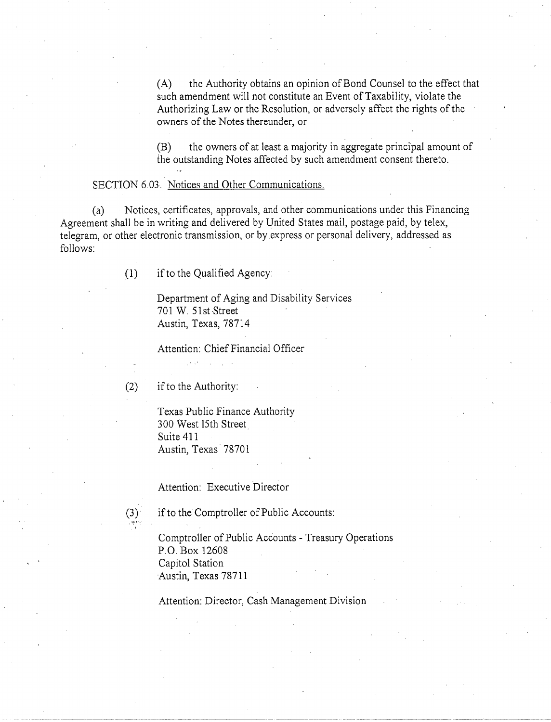(A) the Authority obtains an opinion of Bond Counsel to the effect that such amendment will not constitute an Event of Taxability, violate the Authorizing Law or the Resolution, or adversely affect the rights of the owners of the Notes thereunder, or

(B) the owners of at least a majority in aggregate principal amount of the outstanding Notes affected by such amendment consent thereto.

#### SECTION 6.03. Notices and Other Communications.

(a) Notices, certificates, approvals, and other communications under this Financing Agreement shall be in writing and delivered by United States mail, postage paid, by telex, telegram, or other electronic transmission, or by express or personal delivery, addressed as follows:

(1) if to the Qualified Agency:

Department of Aging and Disability Services 701 W. 51st Street Austin, Texas, 78714

Attention: Chief Financial Officer

(2) if to the Authority:

Texas Public Finance Authority 300 West 15th Street Suite 411 Austin, Texas· 78701

Attention: Executive Director

(3) if to the Comptroller of Public Accounts:

Comptroller of Public Accounts - Treasury Operations P.O. Box 12608 Capitol Station Austin, Texas 78711

Attention: Director, Cash Management Division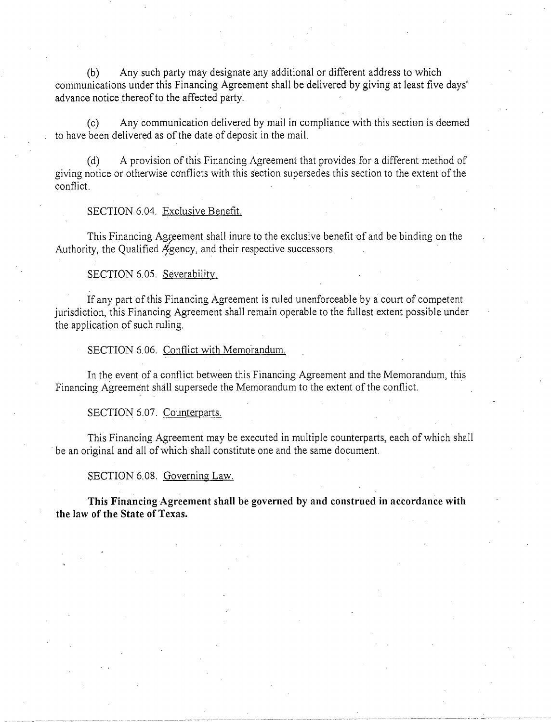(b) Any such party may designate any additional or different address to which communications under this Financing Agreement shall be delivered by giving at least five days' advance notice thereof to the affected party.

(c) Any communication delivered by mail in compliance with this section is deemed to have been delivered as of the date of deposit in the mail.

(d) A provision ofthis Financing Agreement that provides for a different method of giving notice or otherwise conflicts with this section supersedes this section to the extent of the conflict.

#### SECTION 6.04. Exclusive Benefit.

This Financing Agreement shall inure to the exclusive benefit of and be binding on the Authority, the Qualified  $\mathcal{A}_{\text{gency}}$ , and their respective successors.

#### SECTION 6.05. Severability.

If any part of this Financing Agreement is ruled unenforceable by a court of competent jurisdiction, this Financing Agreement shall remain operable to the fullest extent possible under the application of such ruling.

SECTION 6.06. Conflict with Memorandum.

In the event of a conflict between this Financing Agreement and the Memorandum, this Financing Agreement shall supersede the Memorandum to the extent of the conflict.

#### SECTION 6.07. Counterparts.

This Financing Agreement may be executed in multiple counterparts, each of which shall be an original and all of which shall constitute one and the same document.

SECTION 6.08. Governing Law.

**This Financing Agreement shall be governed by and construed in accordance with the law of the State of Texas.**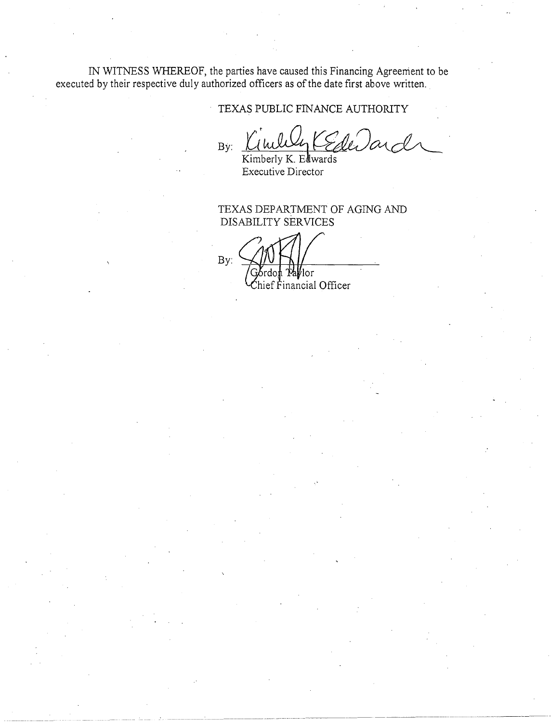IN WITNESS WHEREOF, the parties have caused this Financing Agreement to be executed by their respective duly authorized officers as of the date first above written.

TEXAS PUBLIC FINANCE AUTHORITY

Byri~~~~ Kimberly K. E wards

-·-··-··----------------~- -- ~------------ --- ~-------·-----

Executive Director

TEXAS DEPARTMENT OF AGING AND DISABILITY SERVICES

By: a⊮lor! ef Financial Officer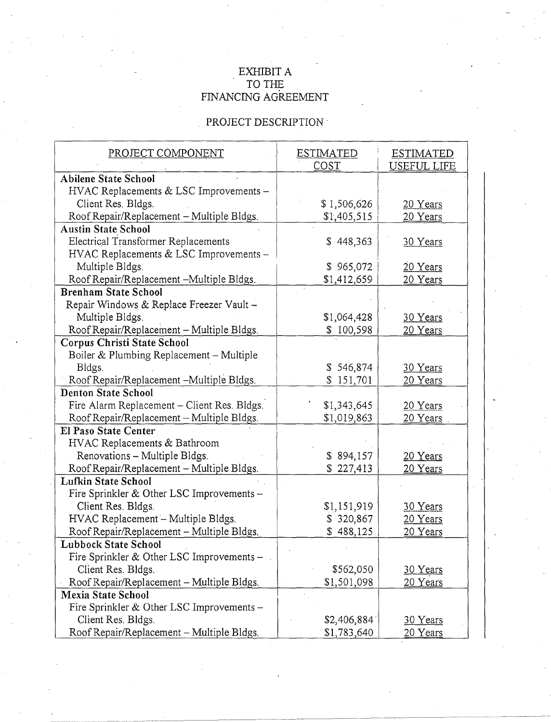### EXHIBIT A TO THE FINANCING AGREEMENT

# PROJECT DESCRIPTION  $^{\circ}$

| PROJECT COMPONENT                           | <b>ESTIMATED</b><br>COST | <b>ESTIMATED</b><br><b>USEFUL LIFE</b> |
|---------------------------------------------|--------------------------|----------------------------------------|
| <b>Abilene State School</b>                 |                          |                                        |
| HVAC Replacements & LSC Improvements -      |                          |                                        |
| Client Res. Bldgs.                          | \$1,506,626              | 20 Years                               |
| Roof Repair/Replacement - Multiple Bldgs.   | \$1,405,515              | 20 Years                               |
| <b>Austin State School</b>                  |                          |                                        |
| Electrical Transformer Replacements         | \$448,363                | 30 Years                               |
| HVAC Replacements & LSC Improvements -      |                          |                                        |
| Multiple Bldgs.                             | \$965,072                | 20 Years                               |
| Roof Repair/Replacement -Multiple Bldgs.    | \$1,412,659              | 20 Years                               |
| <b>Brenham State School</b>                 |                          |                                        |
| Repair Windows & Replace Freezer Vault -    |                          |                                        |
| Multiple Bldgs.                             | \$1,064,428              | 30 Years                               |
| Roof Repair/Replacement - Multiple Bldgs.   | \$100,598                | 20 Years                               |
| <b>Corpus Christi State School</b>          |                          |                                        |
| Boiler & Plumbing Replacement - Multiple    |                          |                                        |
| Bldgs.                                      | \$546,874                | 30 Years                               |
| Roof Repair/Replacement -Multiple Bldgs.    | \$151,701                | 20 Years                               |
| <b>Denton State School</b>                  |                          |                                        |
| Fire Alarm Replacement - Client Res. Bldgs. | \$1,343,645              | 20 Years                               |
| Roof Repair/Replacement - Multiple Bldgs.   | \$1,019,863              | 20 Years                               |
| <b>El Paso State Center</b>                 |                          |                                        |
| HVAC Replacements & Bathroom                |                          |                                        |
| Renovations - Multiple Bldgs.               | \$894,157                | 20 Years                               |
| Roof Repair/Replacement - Multiple Bldgs.   | \$227,413                | 20 Years                               |
| <b>Lufkin State School</b>                  |                          |                                        |
| Fire Sprinkler & Other LSC Improvements -   |                          |                                        |
| Client Res. Bldgs.                          | \$1,151,919              | 30 Years                               |
| HVAC Replacement - Multiple Bldgs.          | \$320,867                | 20 Years                               |
| Roof Repair/Replacement - Multiple Bldgs.   | \$488,125                | 20 Years                               |
| <b>Lubbock State School</b>                 |                          |                                        |
| Fire Sprinkler & Other LSC Improvements -   |                          |                                        |
| Client Res. Bldgs.                          | \$562,050                | 30 Years                               |
| Roof Repair/Replacement - Multiple Bldgs.   | \$1,501,098              | 20 Years                               |
| <b>Mexia State School</b>                   |                          |                                        |
| Fire Sprinkler & Other LSC Improvements -   |                          |                                        |
| Client Res. Bldgs.                          | \$2,406,884              | 30 Years                               |
| Roof Repair/Replacement - Multiple Bldgs.   | \$1,783,640              | 20 Years                               |

---------------------- ------~--~-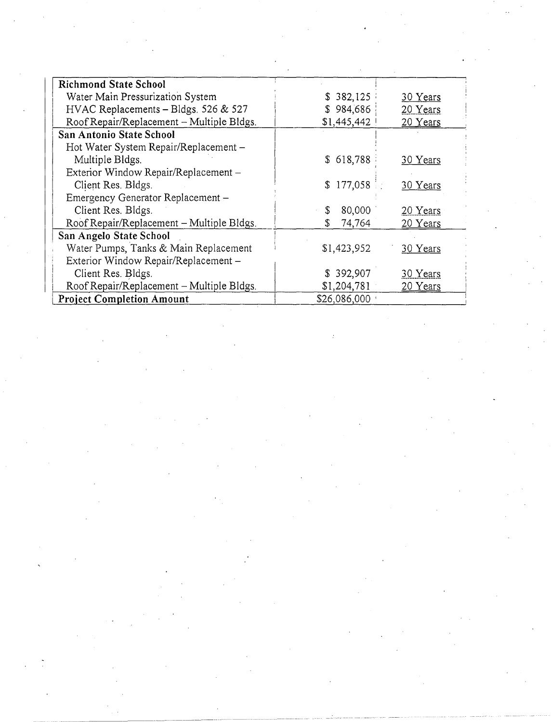| <b>Richmond State School</b>              |              |          |
|-------------------------------------------|--------------|----------|
| Water Main Pressurization System          | \$382,125    | 30 Years |
| HVAC Replacements - Bldgs. 526 & 527      | \$984,686    | 20 Years |
| Roof Repair/Replacement - Multiple Bldgs. | \$1,445,442  | 20 Years |
| <b>San Antonio State School</b>           |              |          |
| Hot Water System Repair/Replacement -     |              |          |
| Multiple Bldgs.                           | \$618,788    | 30 Years |
| Exterior Window Repair/Replacement -      |              |          |
| Client Res. Bldgs.                        | \$177,058    | 30 Years |
| Emergency Generator Replacement -         |              |          |
| Client Res. Bldgs.                        | 80,000<br>\$ | 20 Years |
| Roof Repair/Replacement – Multiple Bldgs. | 74,764<br>S  | 20 Years |
| San Angelo State School                   |              |          |
| Water Pumps, Tanks & Main Replacement     | \$1,423,952  | 30 Years |
| Exterior Window Repair/Replacement -      |              |          |
| Client Res. Bldgs.                        | \$392,907    | 30 Years |
| Roof Repair/Replacement - Multiple Bldgs. | \$1,204,781  | 20 Years |
| <b>Project Completion Amount</b>          | \$26,086,000 |          |

 $\label{eq:2.1} \frac{\partial \mathcal{L}_{\mathcal{A}}}{\partial \mathcal{L}_{\mathcal{A}}}\left(\frac{\partial \mathcal{L}_{\mathcal{A}}}{\partial \mathcal{L}_{\mathcal{A}}}\right) = \frac{1}{2} \sum_{i=1}^{N} \frac{\partial \mathcal{L}_{\mathcal{A}}}{\partial \mathcal{L}_{\mathcal{A}}}\left(\frac{\partial \mathcal{L}_{\mathcal{A}}}{\partial \mathcal{L}_{\mathcal{A}}}\right)$ 

 $\label{eq:2.1} \frac{1}{\sqrt{2}}\sum_{i=1}^n\frac{1}{\sqrt{2}}\sum_{i=1}^n\frac{1}{\sqrt{2}}\sum_{i=1}^n\frac{1}{\sqrt{2}}\sum_{i=1}^n\frac{1}{\sqrt{2}}\sum_{i=1}^n\frac{1}{\sqrt{2}}\sum_{i=1}^n\frac{1}{\sqrt{2}}\sum_{i=1}^n\frac{1}{\sqrt{2}}\sum_{i=1}^n\frac{1}{\sqrt{2}}\sum_{i=1}^n\frac{1}{\sqrt{2}}\sum_{i=1}^n\frac{1}{\sqrt{2}}\sum_{i=1}^n\frac$ 

 $\label{eq:2.1} \frac{1}{\sqrt{2\pi}}\sum_{i=1}^n\frac{1}{\sqrt{2\pi}}\left(\frac{1}{\sqrt{2\pi}}\sum_{i=1}^n\frac{1}{\sqrt{2\pi}}\right)^2\frac{1}{\sqrt{2\pi}}\left(\frac{1}{\sqrt{2\pi}}\sum_{i=1}^n\frac{1}{\sqrt{2\pi}}\right)^2.$ 

 $\label{eq:2.1} \frac{d\mathbf{q}}{dt} = \frac{1}{2} \mathbf{q} \mathbf{q}$ 

 $\label{eq:2.1} \mathcal{L}_{\mathcal{A}}(\mathcal{A}) = \mathcal{L}_{\mathcal{A}}(\mathcal{A}) \mathcal{L}_{\mathcal{A}}(\mathcal{A})$ 

 $\label{eq:2} \frac{1}{\sqrt{2}}\sum_{i=1}^n\frac{1}{\sqrt{2}}\sum_{j=1}^n\frac{1}{j!}\sum_{j=1}^n\frac{1}{j!}\sum_{j=1}^n\frac{1}{j!}\sum_{j=1}^n\frac{1}{j!}\sum_{j=1}^n\frac{1}{j!}\sum_{j=1}^n\frac{1}{j!}\sum_{j=1}^n\frac{1}{j!}\sum_{j=1}^n\frac{1}{j!}\sum_{j=1}^n\frac{1}{j!}\sum_{j=1}^n\frac{1}{j!}\sum_{j=1}^n\frac{1}{j!}\sum_{j=1}^$ 

 $\mathcal{O}(\frac{1}{2})$ 

 $\sim 10^{-1}$ 

ing pang

 $\mathcal{A}_{\mathcal{A}}$ 

-- ------------

 $\label{eq:2.1} \frac{1}{\sqrt{2}}\int_{0}^{\infty}\frac{1}{\sqrt{2\pi}}\left(\frac{1}{\sqrt{2\pi}}\right)^{2}d\mu_{\rm{eff}}\,d\mu_{\rm{eff}}$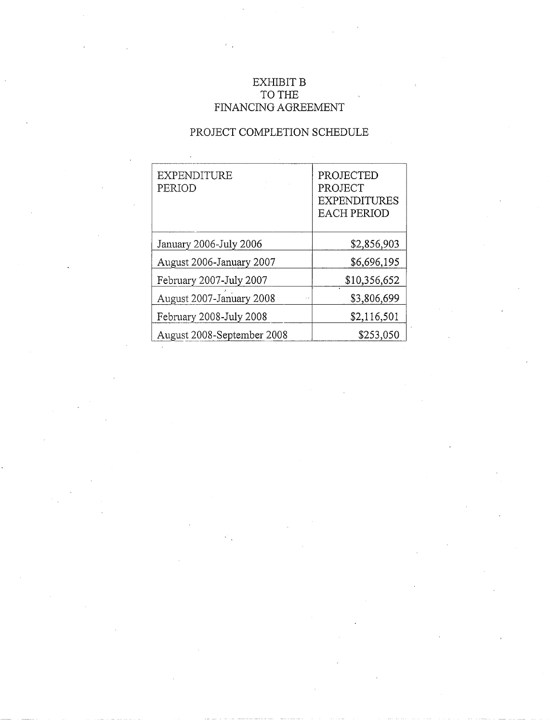## EXHIBIT **B** TO THE FINANCING AGREEMENT

### PROJECT COMPLETION SCHEDULE

| <b>EXPENDITURE</b><br>PERIOD | PROJECTED<br>PROJECT<br><b>EXPENDITURES</b><br><b>EACH PERIOD</b> |
|------------------------------|-------------------------------------------------------------------|
| January 2006-July 2006       | \$2,856,903                                                       |
| August 2006-January 2007     | \$6,696,195                                                       |
| February 2007-July 2007      | \$10,356,652                                                      |
| August 2007-January 2008     | \$3,806,699                                                       |
| February 2008-July 2008      | \$2,116,501                                                       |
| August 2008-September 2008   | \$253,050                                                         |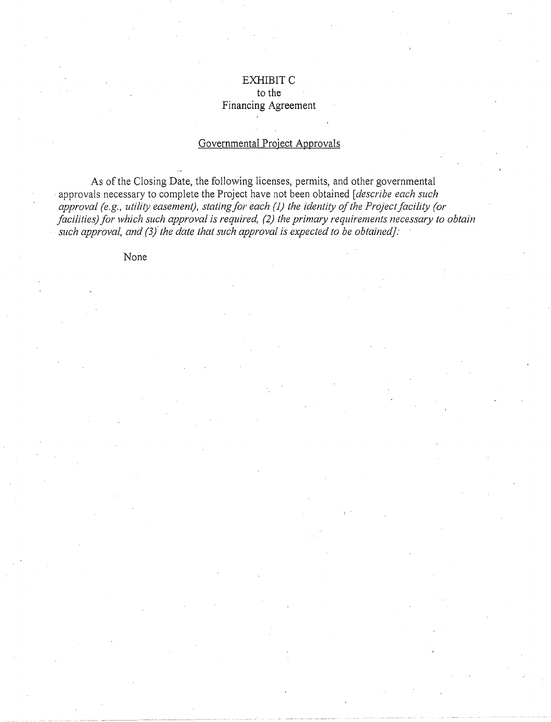### EXHIBITC to the Financing Agreement

### Governmental Project Approvals

As of the Closing Date, the following licenses, permits, and other governmental approvals necessary to complete the Project have not been obtained *[describe each such approval (e.g., utility easement), statingfor each* (J) *the identity of the Project facility (or facilities) for which such approval is required, (2) the primary requirements necessary to obtain such approval, and (3/ the date that such approval is expected to be obtained]:* 

None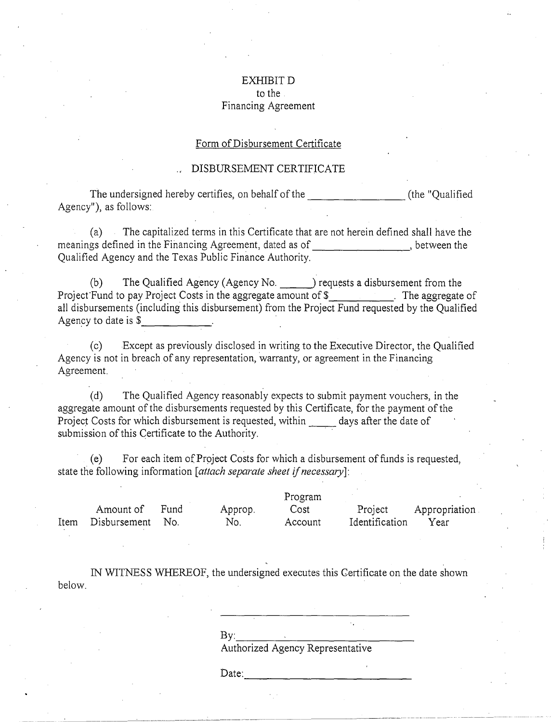### EXHIBITD to the Financing Agreement

#### Form of Disbursement Certificate

#### DISBURSEMENT CERTIFICATE

The undersigned hereby certifies, on behalf of the The undersigned hereby certifies, on behalf of the Theorem (the "Qualified") Agency"), as follows:

(a) The capitalized terms in this Certificate that are not herein defined shaii have the meanings defined in the Financing Agreement, dated as of , between the Qualified Agency and the Texas Public Finance Authority.

(b) The Qualified Agency (Agency No. completed a disbursement from the Project-Fund to pay Project Costs in the aggregate amount of \$ . The aggregate of all disbursements (including this disbursement) from the Project Fund requested by the Qualified<br>Agency to date is \$\_\_\_\_\_\_\_\_\_\_\_\_\_\_\_\_

(c) Except as previously disclosed in writing to the Executive Director, the Qualified Agency is not in breach of any representation, warranty, or agreement in the Financing Agreement.

(d) The Qualified Agency reasonably expects to submit payment vouchers, in the aggregate amount of the disbursements requested by this Certificate, for the payment of the Project Costs for which disbursement is requested, within days after the date of submission of this Certificate to the Authority.

(e) For each item ofProject Costs for which a disbursement of funds is requested, state the following information *[attach separate sheet if necessary*]:

|      |              | Program |         |         |                |               |
|------|--------------|---------|---------|---------|----------------|---------------|
|      | Amount of    | Fund    | Approp. | Cost    | Project        | Appropriation |
| Item | Disbursement | - No.   | No.     | Account | Identification | Year          |

IN WITNESS WHEREOF, the undersigned executes this Certificate on the date shown below.

 $\mathbf{B} \mathbf{y}$ :

Authorized Agency Representative

 $Date:$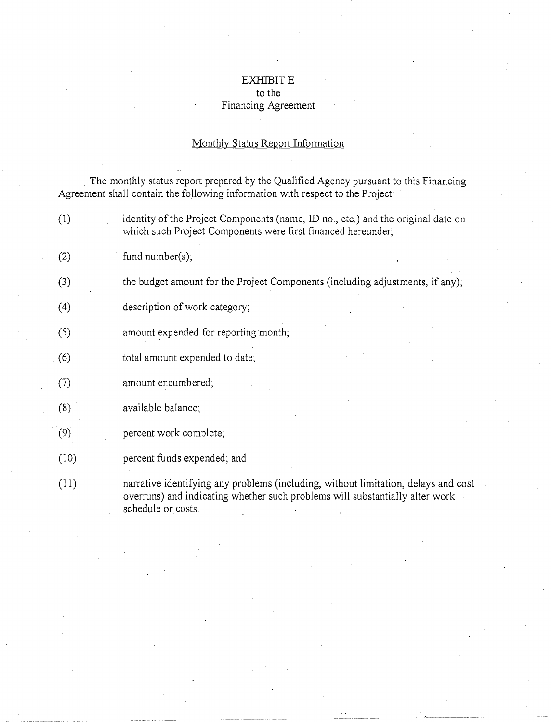### EXHIBIT E to the

# Financing Agreement

# Monthly Status Report Information

. The monthly status report prepared by the Qualified Agency pursuant to this Financing Agreement shall contain the following information with respect to the Project:

| (1)  | identity of the Project Components (name, ID no., etc.) and the original date on<br>which such Project Components were first financed hereunder;                                         |
|------|------------------------------------------------------------------------------------------------------------------------------------------------------------------------------------------|
| (2)  | fund $number(s)$ ;                                                                                                                                                                       |
| (3)  | the budget amount for the Project Components (including adjustments, if any);                                                                                                            |
| (4)  | description of work category;                                                                                                                                                            |
| (5)  | amount expended for reporting month;                                                                                                                                                     |
| (6)  | total amount expended to date;                                                                                                                                                           |
| (7)  | amount encumbered;                                                                                                                                                                       |
| (8)  | available balance;                                                                                                                                                                       |
| (9)  | percent work complete;                                                                                                                                                                   |
| (10) | percent funds expended; and                                                                                                                                                              |
| (11) | narrative identifying any problems (including, without limitation, delays and cost<br>overruns) and indicating whether such problems will substantially alter work<br>schedule or costs. |